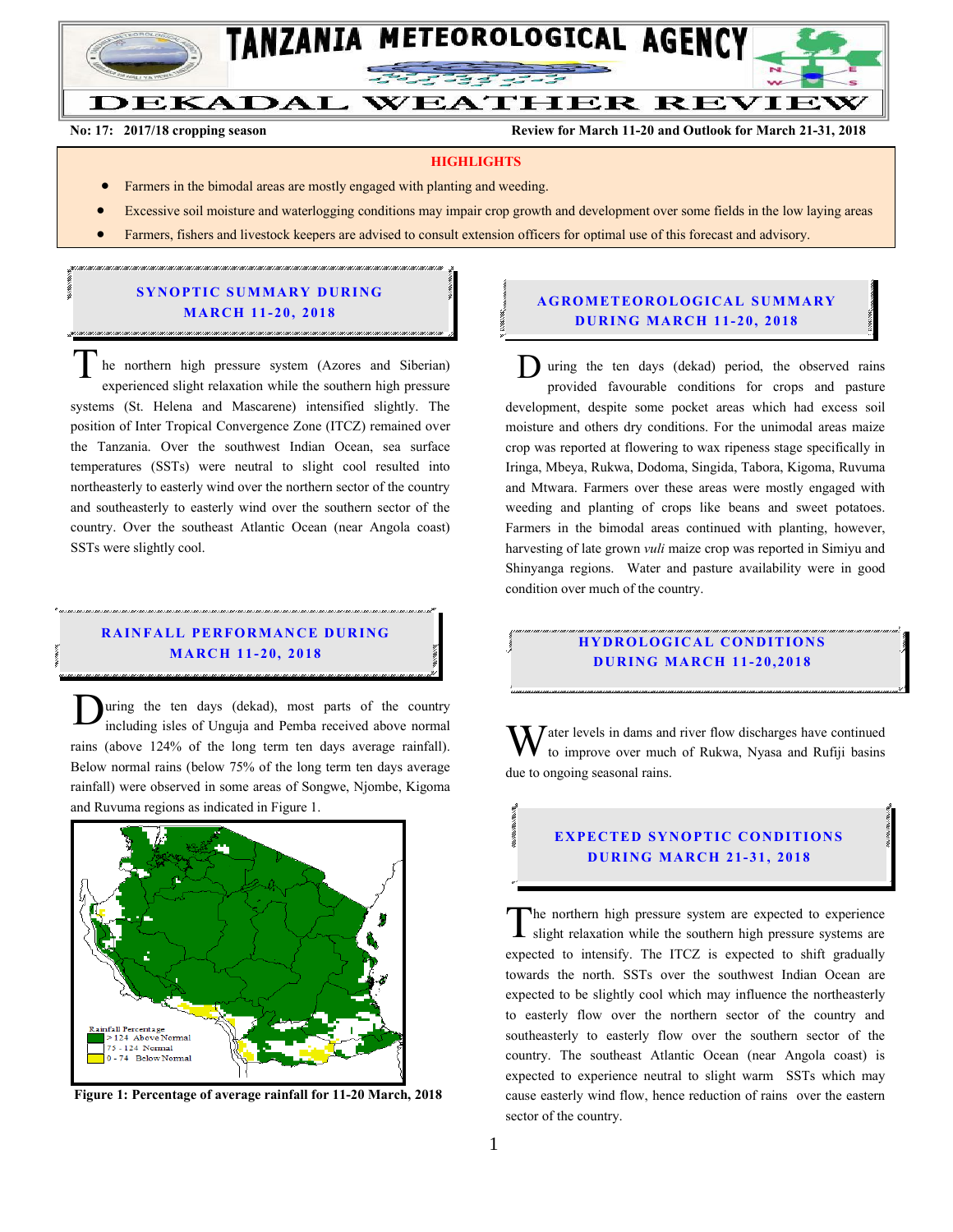

 $\overline{a}$ 

DEKADAL WEATHER REVIEW

**No: 17: 2017/18 cropping season Review for March 11-20 and Outlook for March 21-31, 2018** 

#### **HIGHLIGHTS**

- Farmers in the bimodal areas are mostly engaged with planting and weeding.
- Excessive soil moisture and waterlogging conditions may impair crop growth and development over some fields in the low laying areas
- Farmers, fishers and livestock keepers are advised to consult extension officers for optimal use of this forecast and advisory.

### **SYNOPTIC SUMMARY DURING MARCH 11-20, 2018**

.<br>הוא דעות המודיעות הוא דעות העודה ואו דעות העודה ואו דעות העודה ואו דעות העודה ואו דעות העודה עודה עודה עודה עו

he northern high pressure system (Azores and Siberian) experienced slight relaxation while the southern high pressure systems (St. Helena and Mascarene) intensified slightly. The position of Inter Tropical Convergence Zone (ITCZ) remained over the Tanzania. Over the southwest Indian Ocean, sea surface temperatures (SSTs) were neutral to slight cool resulted into northeasterly to easterly wind over the northern sector of the country and southeasterly to easterly wind over the southern sector of the country. Over the southeast Atlantic Ocean (near Angola coast) SSTs were slightly cool.  $\overline{T}$ 

### **R A IN FA LL PER FO R MAN C E D UR ING MA RC H 1 1- 20, 201 8**

.<br>Tha 2 tha 2 tha 2 tha 2 tha 2 tha 2 tha 2 tha 2 tha 2 tha 2 tha 2 tha 2 tha 2 tha 2 tha 2 tha 2 tha 2 tha 2 th

uring the ten days (dekad), most parts of the country including isles of Unguja and Pemba received above normal rains (above 124% of the long term ten days average rainfall). Below normal rains (below 75% of the long term ten days average rainfall) were observed in some areas of Songwe, Njombe, Kigoma and Ruvuma regions as indicated in Figure 1. D



**Figure 1: Percentage of average rainfall for 11-20 March, 2018**

#### **A G RO METEO R O LOG ICA L SU MMA RY D UR ING MA RC H 11- 20, 2018**

D uring the ten days (dekad) period, the observed rains provided favourable conditions for crops and pasture development, despite some pocket areas which had excess soil moisture and others dry conditions. For the unimodal areas maize crop was reported at flowering to wax ripeness stage specifically in Iringa, Mbeya, Rukwa, Dodoma, Singida, Tabora, Kigoma, Ruvuma and Mtwara. Farmers over these areas were mostly engaged with weeding and planting of crops like beans and sweet potatoes. Farmers in the bimodal areas continued with planting, however, harvesting of late grown *vuli* maize crop was reported in Simiyu and Shinyanga regions. Water and pasture availability were in good condition over much of the country.

#### **HYDROLOGICAL CONDITIONS D UR ING MA RC H 11- 20,2018**

 $\sum$  ater levels in dams and river flow discharges have continued to improve over much of Rukwa, Nyasa and Rufiji basins due to ongoing seasonal rains. W

# **EXPECTED SYNOPTIC CONDITIONS D UR ING MA RC H 21- 31, 201 8**

he northern high pressure system are expected to experience slight relaxation while the southern high pressure systems are expected to intensify. The ITCZ is expected to shift gradually towards the north. SSTs over the southwest Indian Ocean are expected to be slightly cool which may influence the northeasterly to easterly flow over the northern sector of the country and southeasterly to easterly flow over the southern sector of the country. The southeast Atlantic Ocean (near Angola coast) is expected to experience neutral to slight warm SSTs which may cause easterly wind flow, hence reduction of rains over the eastern sector of the country. T